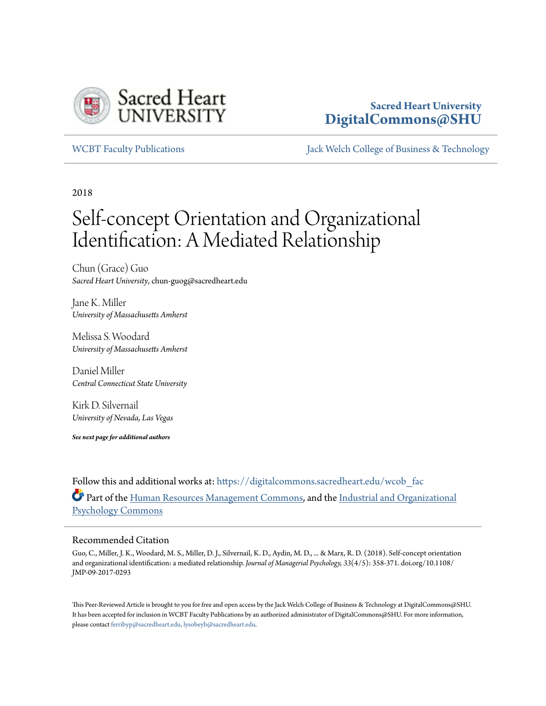

### **Sacred Heart University [DigitalCommons@SHU](https://digitalcommons.sacredheart.edu?utm_source=digitalcommons.sacredheart.edu%2Fwcob_fac%2F492&utm_medium=PDF&utm_campaign=PDFCoverPages)**

[WCBT Faculty Publications](https://digitalcommons.sacredheart.edu/wcob_fac?utm_source=digitalcommons.sacredheart.edu%2Fwcob_fac%2F492&utm_medium=PDF&utm_campaign=PDFCoverPages) [Jack Welch College of Business & Technology](https://digitalcommons.sacredheart.edu/wcob?utm_source=digitalcommons.sacredheart.edu%2Fwcob_fac%2F492&utm_medium=PDF&utm_campaign=PDFCoverPages)

2018

# Self-concept Orientation and Organizational Identification: A Mediated Relationship

Chun (Grace) Guo *Sacred Heart University*, chun-guog@sacredheart.edu

Jane K. Miller *University of Massachusetts Amherst*

Melissa S. Woodard *University of Massachusetts Amherst*

Daniel Miller *Central Connecticut State University*

Kirk D. Silvernail *University of Nevada, Las Vegas*

*See next page for additional authors*

Follow this and additional works at: [https://digitalcommons.sacredheart.edu/wcob\\_fac](https://digitalcommons.sacredheart.edu/wcob_fac?utm_source=digitalcommons.sacredheart.edu%2Fwcob_fac%2F492&utm_medium=PDF&utm_campaign=PDFCoverPages) Part of the [Human Resources Management Commons,](http://network.bepress.com/hgg/discipline/633?utm_source=digitalcommons.sacredheart.edu%2Fwcob_fac%2F492&utm_medium=PDF&utm_campaign=PDFCoverPages) and the [Industrial and Organizational](http://network.bepress.com/hgg/discipline/412?utm_source=digitalcommons.sacredheart.edu%2Fwcob_fac%2F492&utm_medium=PDF&utm_campaign=PDFCoverPages) [Psychology Commons](http://network.bepress.com/hgg/discipline/412?utm_source=digitalcommons.sacredheart.edu%2Fwcob_fac%2F492&utm_medium=PDF&utm_campaign=PDFCoverPages)

### Recommended Citation

Guo, C., Miller, J. K., Woodard, M. S., Miller, D. J., Silvernail, K. D., Aydin, M. D., ... & Marx, R. D. (2018). Self-concept orientation and organizational identification: a mediated relationship. *Journal of Managerial Psychology, 33*(4/5): 358-371. doi.org/10.1108/ JMP-09-2017-0293

This Peer-Reviewed Article is brought to you for free and open access by the Jack Welch College of Business & Technology at DigitalCommons@SHU. It has been accepted for inclusion in WCBT Faculty Publications by an authorized administrator of DigitalCommons@SHU. For more information, please contact [ferribyp@sacredheart.edu, lysobeyb@sacredheart.edu](mailto:ferribyp@sacredheart.edu,%20lysobeyb@sacredheart.edu).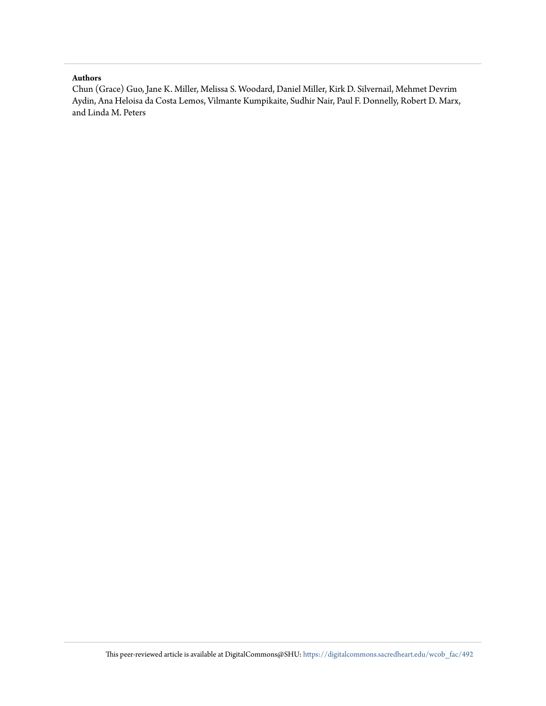#### **Authors**

Chun (Grace) Guo, Jane K. Miller, Melissa S. Woodard, Daniel Miller, Kirk D. Silvernail, Mehmet Devrim Aydin, Ana Heloisa da Costa Lemos, Vilmante Kumpikaite, Sudhir Nair, Paul F. Donnelly, Robert D. Marx, and Linda M. Peters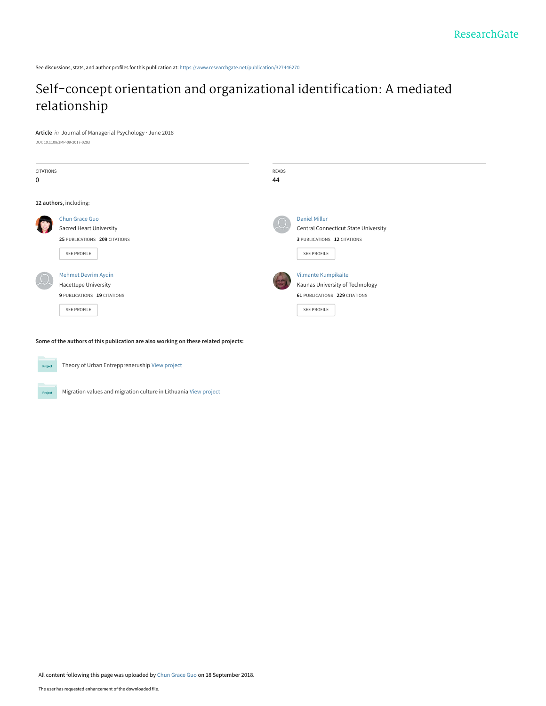See discussions, stats, and author profiles for this publication at: [https://www.researchgate.net/publication/327446270](https://www.researchgate.net/publication/327446270_Self-concept_orientation_and_organizational_identification_A_mediated_relationship?enrichId=rgreq-bd5680b066ca5777250c5a0b0f15e8a1-XXX&enrichSource=Y292ZXJQYWdlOzMyNzQ0NjI3MDtBUzo2NzIzMDk4NzAzMzgwNjFAMTUzNzMwMjU3Mjg5NQ%3D%3D&el=1_x_2&_esc=publicationCoverPdf)

### [Self-concept orientation and organizational identification: A mediated](https://www.researchgate.net/publication/327446270_Self-concept_orientation_and_organizational_identification_A_mediated_relationship?enrichId=rgreq-bd5680b066ca5777250c5a0b0f15e8a1-XXX&enrichSource=Y292ZXJQYWdlOzMyNzQ0NjI3MDtBUzo2NzIzMDk4NzAzMzgwNjFAMTUzNzMwMjU3Mjg5NQ%3D%3D&el=1_x_3&_esc=publicationCoverPdf) relationship

**Article** in Journal of Managerial Psychology · June 2018

DOI: 10.1108/JMP-09-2017-0293

| CITATIONS<br>0         |                                                                                                         | READS<br>44 |                                                                                                                   |
|------------------------|---------------------------------------------------------------------------------------------------------|-------------|-------------------------------------------------------------------------------------------------------------------|
| 12 authors, including: |                                                                                                         |             |                                                                                                                   |
|                        | Chun Grace Guo<br><b>Sacred Heart University</b><br>25 PUBLICATIONS 209 CITATIONS<br>SEE PROFILE        |             | <b>Daniel Miller</b><br>Central Connecticut State University<br>3 PUBLICATIONS 12 CITATIONS<br><b>SEE PROFILE</b> |
|                        | <b>Mehmet Devrim Aydin</b><br><b>Hacettepe University</b><br>9 PUBLICATIONS 19 CITATIONS<br>SEE PROFILE |             | Vilmante Kumpikaite<br>Kaunas University of Technology<br>61 PUBLICATIONS 229 CITATIONS<br><b>SEE PROFILE</b>     |

**Some of the authors of this publication are also working on these related projects:**



Project

Theory of Urban Entreppreneruship [View project](https://www.researchgate.net/project/Theory-of-Urban-Entreppreneruship?enrichId=rgreq-bd5680b066ca5777250c5a0b0f15e8a1-XXX&enrichSource=Y292ZXJQYWdlOzMyNzQ0NjI3MDtBUzo2NzIzMDk4NzAzMzgwNjFAMTUzNzMwMjU3Mjg5NQ%3D%3D&el=1_x_9&_esc=publicationCoverPdf)

Migration values and migration culture in Lithuania [View project](https://www.researchgate.net/project/Migration-values-and-migration-culture-in-Lithuania?enrichId=rgreq-bd5680b066ca5777250c5a0b0f15e8a1-XXX&enrichSource=Y292ZXJQYWdlOzMyNzQ0NjI3MDtBUzo2NzIzMDk4NzAzMzgwNjFAMTUzNzMwMjU3Mjg5NQ%3D%3D&el=1_x_9&_esc=publicationCoverPdf)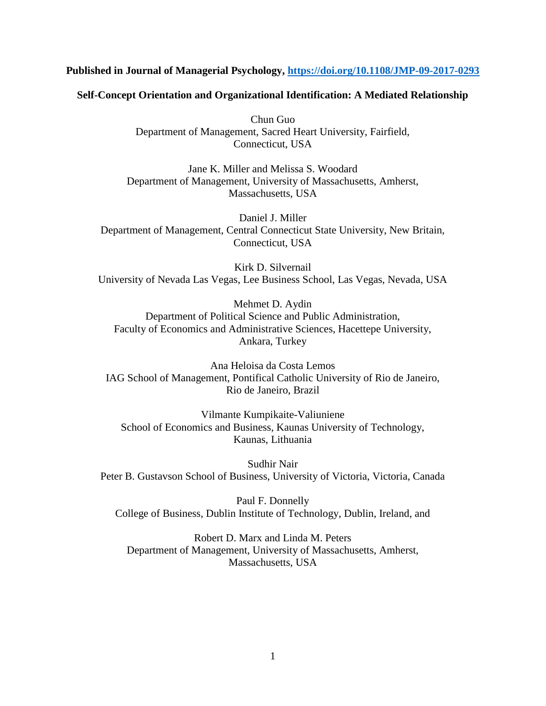### **Published in Journal of Managerial Psychology, <https://doi.org/10.1108/JMP-09-2017-0293>**

### **Self-Concept Orientation and Organizational Identification: A Mediated Relationship**

Chun Guo Department of Management, Sacred Heart University, Fairfield, Connecticut, USA

Jane K. Miller and Melissa S. Woodard Department of Management, University of Massachusetts, Amherst, Massachusetts, USA

Daniel J. Miller Department of Management, Central Connecticut State University, New Britain, Connecticut, USA

Kirk D. Silvernail University of Nevada Las Vegas, Lee Business School, Las Vegas, Nevada, USA

Mehmet D. Aydin Department of Political Science and Public Administration, Faculty of Economics and Administrative Sciences, Hacettepe University, Ankara, Turkey

Ana Heloisa da Costa Lemos IAG School of Management, Pontifical Catholic University of Rio de Janeiro, Rio de Janeiro, Brazil

Vilmante Kumpikaite-Valiuniene School of Economics and Business, Kaunas University of Technology, Kaunas, Lithuania

Sudhir Nair Peter B. Gustavson School of Business, University of Victoria, Victoria, Canada

Paul F. Donnelly College of Business, Dublin Institute of Technology, Dublin, Ireland, and

Robert D. Marx and Linda M. Peters Department of Management, University of Massachusetts, Amherst, Massachusetts, USA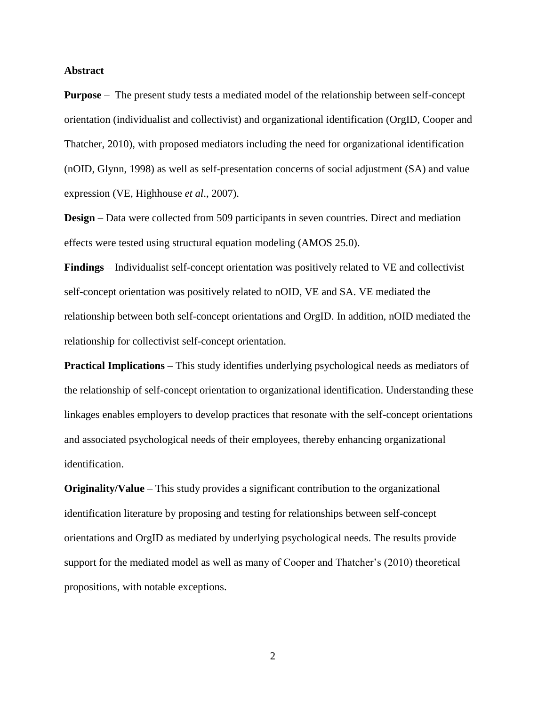### **Abstract**

**Purpose** – The present study tests a mediated model of the relationship between self-concept orientation (individualist and collectivist) and organizational identification (OrgID, Cooper and Thatcher, 2010), with proposed mediators including the need for organizational identification (nOID, Glynn, 1998) as well as self-presentation concerns of social adjustment (SA) and value expression (VE, Highhouse *et al*., 2007).

**Design** – Data were collected from 509 participants in seven countries. Direct and mediation effects were tested using structural equation modeling (AMOS 25.0).

**Findings** – Individualist self-concept orientation was positively related to VE and collectivist self-concept orientation was positively related to nOID, VE and SA. VE mediated the relationship between both self-concept orientations and OrgID. In addition, nOID mediated the relationship for collectivist self-concept orientation.

**Practical Implications** – This study identifies underlying psychological needs as mediators of the relationship of self-concept orientation to organizational identification. Understanding these linkages enables employers to develop practices that resonate with the self-concept orientations and associated psychological needs of their employees, thereby enhancing organizational identification.

**Originality/Value** – This study provides a significant contribution to the organizational identification literature by proposing and testing for relationships between self-concept orientations and OrgID as mediated by underlying psychological needs. The results provide support for the mediated model as well as many of Cooper and Thatcher's (2010) theoretical propositions, with notable exceptions.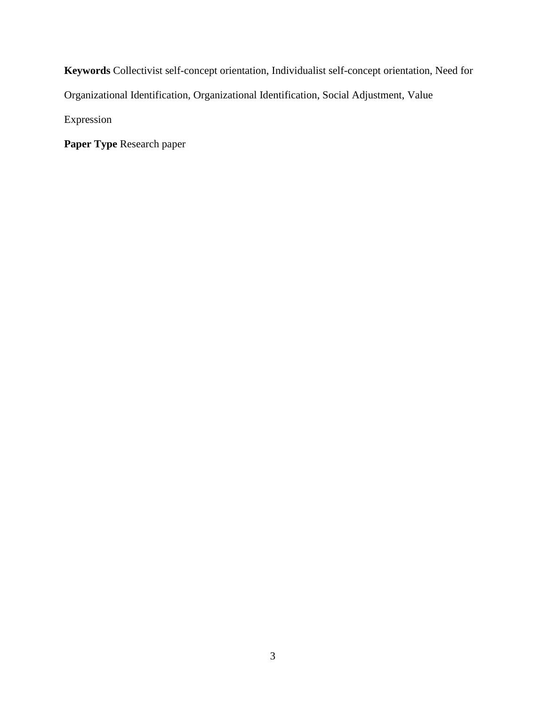**Keywords** Collectivist self-concept orientation, Individualist self-concept orientation, Need for Organizational Identification, Organizational Identification, Social Adjustment, Value Expression

**Paper Type** Research paper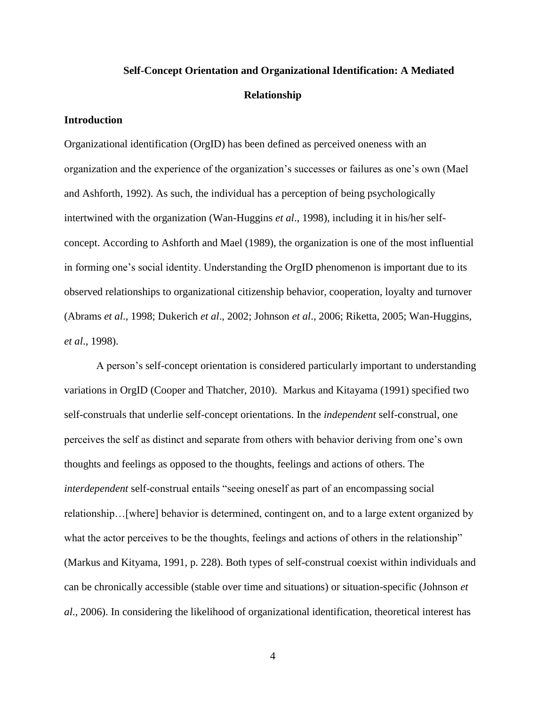## **Self-Concept Orientation and Organizational Identification: A Mediated Relationship**

### **Introduction**

Organizational identification (OrgID) has been defined as perceived oneness with an organization and the experience of the organization's successes or failures as one's own (Mael and Ashforth, 1992). As such, the individual has a perception of being psychologically intertwined with the organization (Wan-Huggins *et al*., 1998), including it in his/her selfconcept. According to Ashforth and Mael (1989), the organization is one of the most influential in forming one's social identity. Understanding the OrgID phenomenon is important due to its observed relationships to organizational citizenship behavior, cooperation, loyalty and turnover (Abrams *et al*., 1998; Dukerich *et al*., 2002; Johnson *et al*., 2006; Riketta, 2005; Wan-Huggins, *et al*., 1998).

A person's self-concept orientation is considered particularly important to understanding variations in OrgID (Cooper and Thatcher, 2010). Markus and Kitayama (1991) specified two self-construals that underlie self-concept orientations. In the *independent* self-construal, one perceives the self as distinct and separate from others with behavior deriving from one's own thoughts and feelings as opposed to the thoughts, feelings and actions of others. The *interdependent* self-construal entails "seeing oneself as part of an encompassing social relationship…[where] behavior is determined, contingent on, and to a large extent organized by what the actor perceives to be the thoughts, feelings and actions of others in the relationship" (Markus and Kityama, 1991, p. 228). Both types of self-construal coexist within individuals and can be chronically accessible (stable over time and situations) or situation-specific (Johnson *et al*., 2006). In considering the likelihood of organizational identification, theoretical interest has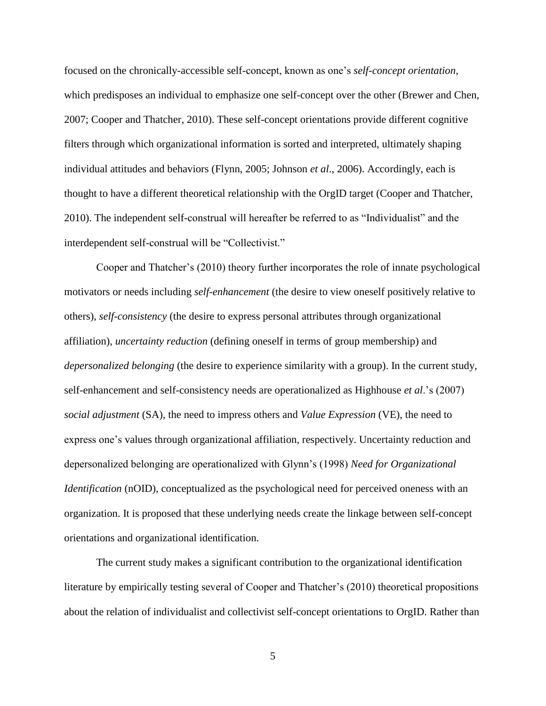focused on the chronically-accessible self-concept, known as one's *self-concept orientation*, which predisposes an individual to emphasize one self-concept over the other (Brewer and Chen, 2007; Cooper and Thatcher, 2010). These self-concept orientations provide different cognitive filters through which organizational information is sorted and interpreted, ultimately shaping individual attitudes and behaviors (Flynn, 2005; Johnson *et al*., 2006). Accordingly, each is thought to have a different theoretical relationship with the OrgID target (Cooper and Thatcher, 2010). The independent self-construal will hereafter be referred to as "Individualist" and the interdependent self-construal will be "Collectivist."

Cooper and Thatcher's (2010) theory further incorporates the role of innate psychological motivators or needs including *self-enhancement* (the desire to view oneself positively relative to others), *self-consistency* (the desire to express personal attributes through organizational affiliation), *uncertainty reduction* (defining oneself in terms of group membership) and *depersonalized belonging* (the desire to experience similarity with a group). In the current study, self-enhancement and self-consistency needs are operationalized as Highhouse *et al*.'s (2007) *social adjustment* (SA), the need to impress others and *Value Expression* (VE), the need to express one's values through organizational affiliation, respectively. Uncertainty reduction and depersonalized belonging are operationalized with Glynn's (1998) *Need for Organizational Identification* (nOID), conceptualized as the psychological need for perceived oneness with an organization. It is proposed that these underlying needs create the linkage between self-concept orientations and organizational identification.

The current study makes a significant contribution to the organizational identification literature by empirically testing several of Cooper and Thatcher's (2010) theoretical propositions about the relation of individualist and collectivist self-concept orientations to OrgID. Rather than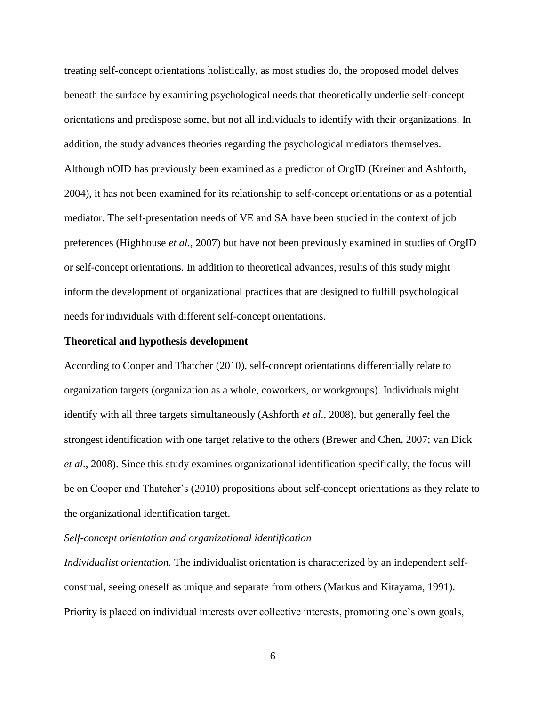treating self-concept orientations holistically, as most studies do, the proposed model delves beneath the surface by examining psychological needs that theoretically underlie self-concept orientations and predispose some, but not all individuals to identify with their organizations. In addition, the study advances theories regarding the psychological mediators themselves. Although nOID has previously been examined as a predictor of OrgID (Kreiner and Ashforth, 2004), it has not been examined for its relationship to self-concept orientations or as a potential mediator. The self-presentation needs of VE and SA have been studied in the context of job preferences (Highhouse *et al.,* 2007) but have not been previously examined in studies of OrgID or self-concept orientations. In addition to theoretical advances, results of this study might inform the development of organizational practices that are designed to fulfill psychological needs for individuals with different self-concept orientations.

### **Theoretical and hypothesis development**

According to Cooper and Thatcher (2010), self-concept orientations differentially relate to organization targets (organization as a whole, coworkers, or workgroups). Individuals might identify with all three targets simultaneously (Ashforth *et al*., 2008), but generally feel the strongest identification with one target relative to the others (Brewer and Chen, 2007; van Dick *et al*., 2008). Since this study examines organizational identification specifically, the focus will be on Cooper and Thatcher's (2010) propositions about self-concept orientations as they relate to the organizational identification target.

### *Self-concept orientation and organizational identification*

*Individualist orientation.* The individualist orientation is characterized by an independent selfconstrual, seeing oneself as unique and separate from others (Markus and Kitayama, 1991). Priority is placed on individual interests over collective interests, promoting one's own goals,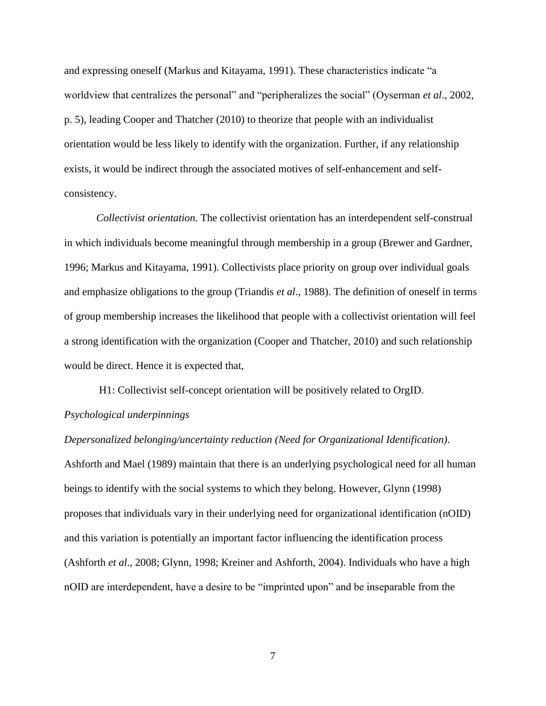and expressing oneself (Markus and Kitayama, 1991). These characteristics indicate "a worldview that centralizes the personal" and "peripheralizes the social" (Oyserman *et al*., 2002, p. 5), leading Cooper and Thatcher (2010) to theorize that people with an individualist orientation would be less likely to identify with the organization. Further, if any relationship exists, it would be indirect through the associated motives of self-enhancement and selfconsistency.

*Collectivist orientation.* The collectivist orientation has an interdependent self-construal in which individuals become meaningful through membership in a group (Brewer and Gardner, 1996; Markus and Kitayama, 1991). Collectivists place priority on group over individual goals and emphasize obligations to the group (Triandis *et al*., 1988). The definition of oneself in terms of group membership increases the likelihood that people with a collectivist orientation will feel a strong identification with the organization (Cooper and Thatcher, 2010) and such relationship would be direct. Hence it is expected that,

H1: Collectivist self-concept orientation will be positively related to OrgID. *Psychological underpinnings*

*Depersonalized belonging/uncertainty reduction (Need for Organizational Identification)*. Ashforth and Mael (1989) maintain that there is an underlying psychological need for all human beings to identify with the social systems to which they belong. However, Glynn (1998) proposes that individuals vary in their underlying need for organizational identification (nOID) and this variation is potentially an important factor influencing the identification process (Ashforth *et al*., 2008; Glynn, 1998; Kreiner and Ashforth, 2004). Individuals who have a high nOID are interdependent, have a desire to be "imprinted upon" and be inseparable from the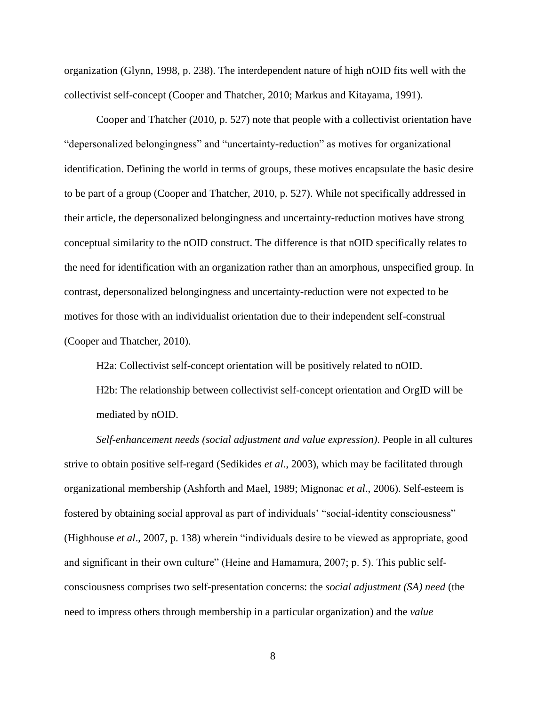organization (Glynn, 1998, p. 238). The interdependent nature of high nOID fits well with the collectivist self-concept (Cooper and Thatcher, 2010; Markus and Kitayama, 1991).

Cooper and Thatcher (2010, p. 527) note that people with a collectivist orientation have "depersonalized belongingness" and "uncertainty-reduction" as motives for organizational identification. Defining the world in terms of groups, these motives encapsulate the basic desire to be part of a group (Cooper and Thatcher, 2010, p. 527). While not specifically addressed in their article, the depersonalized belongingness and uncertainty-reduction motives have strong conceptual similarity to the nOID construct. The difference is that nOID specifically relates to the need for identification with an organization rather than an amorphous, unspecified group. In contrast, depersonalized belongingness and uncertainty-reduction were not expected to be motives for those with an individualist orientation due to their independent self-construal (Cooper and Thatcher, 2010).

H2a: Collectivist self-concept orientation will be positively related to nOID.

H2b: The relationship between collectivist self-concept orientation and OrgID will be mediated by nOID.

*Self-enhancement needs (social adjustment and value expression)*. People in all cultures strive to obtain positive self-regard (Sedikides *et al*., 2003), which may be facilitated through organizational membership (Ashforth and Mael, 1989; Mignonac *et al*., 2006). Self-esteem is fostered by obtaining social approval as part of individuals' "social-identity consciousness" (Highhouse *et al*., 2007, p. 138) wherein "individuals desire to be viewed as appropriate, good and significant in their own culture" (Heine and Hamamura, 2007; p. 5). This public selfconsciousness comprises two self-presentation concerns: the *social adjustment (SA) need* (the need to impress others through membership in a particular organization) and the *value*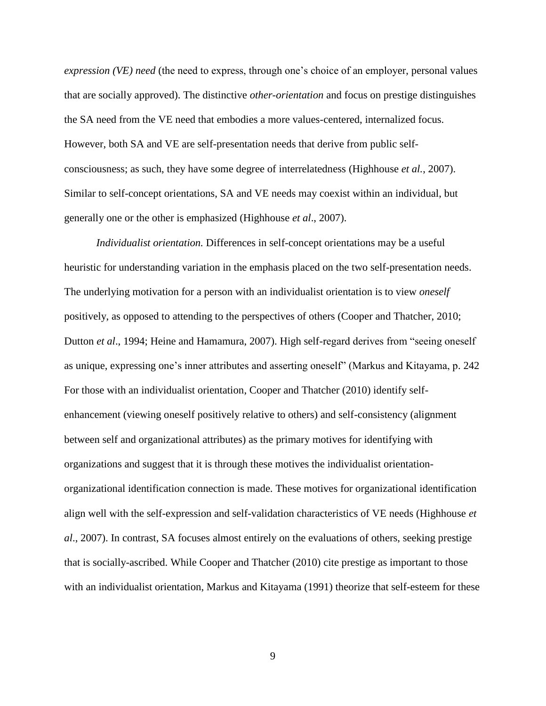*expression (VE) need* (the need to express, through one's choice of an employer, personal values that are socially approved). The distinctive *other-orientation* and focus on prestige distinguishes the SA need from the VE need that embodies a more values-centered, internalized focus. However, both SA and VE are self-presentation needs that derive from public selfconsciousness; as such, they have some degree of interrelatedness (Highhouse *et al.*, 2007). Similar to self-concept orientations, SA and VE needs may coexist within an individual, but generally one or the other is emphasized (Highhouse *et al*., 2007).

*Individualist orientation.* Differences in self-concept orientations may be a useful heuristic for understanding variation in the emphasis placed on the two self-presentation needs. The underlying motivation for a person with an individualist orientation is to view *oneself* positively, as opposed to attending to the perspectives of others (Cooper and Thatcher, 2010; Dutton *et al*., 1994; Heine and Hamamura, 2007). High self-regard derives from "seeing oneself as unique, expressing one's inner attributes and asserting oneself" (Markus and Kitayama, p. 242 For those with an individualist orientation, Cooper and Thatcher (2010) identify selfenhancement (viewing oneself positively relative to others) and self-consistency (alignment between self and organizational attributes) as the primary motives for identifying with organizations and suggest that it is through these motives the individualist orientationorganizational identification connection is made. These motives for organizational identification align well with the self-expression and self-validation characteristics of VE needs (Highhouse *et al*., 2007). In contrast, SA focuses almost entirely on the evaluations of others, seeking prestige that is socially-ascribed. While Cooper and Thatcher (2010) cite prestige as important to those with an individualist orientation, Markus and Kitayama (1991) theorize that self-esteem for these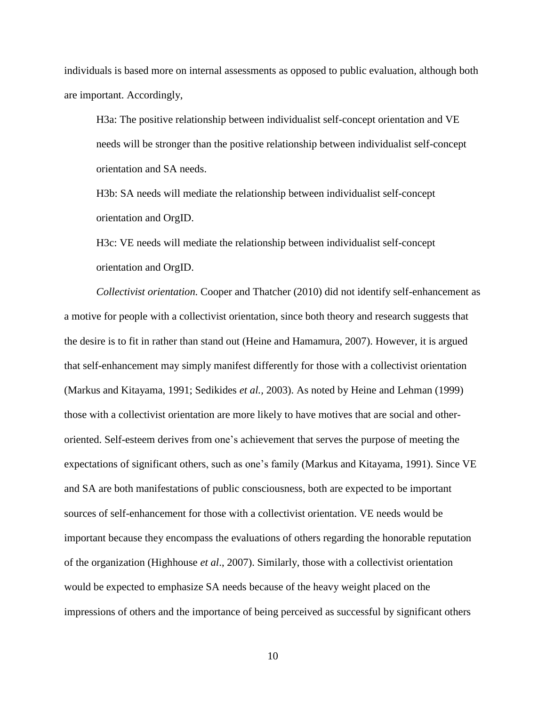individuals is based more on internal assessments as opposed to public evaluation, although both are important. Accordingly,

H3a: The positive relationship between individualist self-concept orientation and VE needs will be stronger than the positive relationship between individualist self-concept orientation and SA needs.

H3b: SA needs will mediate the relationship between individualist self-concept orientation and OrgID.

H3c: VE needs will mediate the relationship between individualist self-concept orientation and OrgID.

*Collectivist orientation.* Cooper and Thatcher (2010) did not identify self-enhancement as a motive for people with a collectivist orientation, since both theory and research suggests that the desire is to fit in rather than stand out (Heine and Hamamura, 2007). However, it is argued that self-enhancement may simply manifest differently for those with a collectivist orientation (Markus and Kitayama, 1991; Sedikides *et al.,* 2003). As noted by Heine and Lehman (1999) those with a collectivist orientation are more likely to have motives that are social and otheroriented. Self-esteem derives from one's achievement that serves the purpose of meeting the expectations of significant others, such as one's family (Markus and Kitayama, 1991). Since VE and SA are both manifestations of public consciousness, both are expected to be important sources of self-enhancement for those with a collectivist orientation. VE needs would be important because they encompass the evaluations of others regarding the honorable reputation of the organization (Highhouse *et al*., 2007). Similarly, those with a collectivist orientation would be expected to emphasize SA needs because of the heavy weight placed on the impressions of others and the importance of being perceived as successful by significant others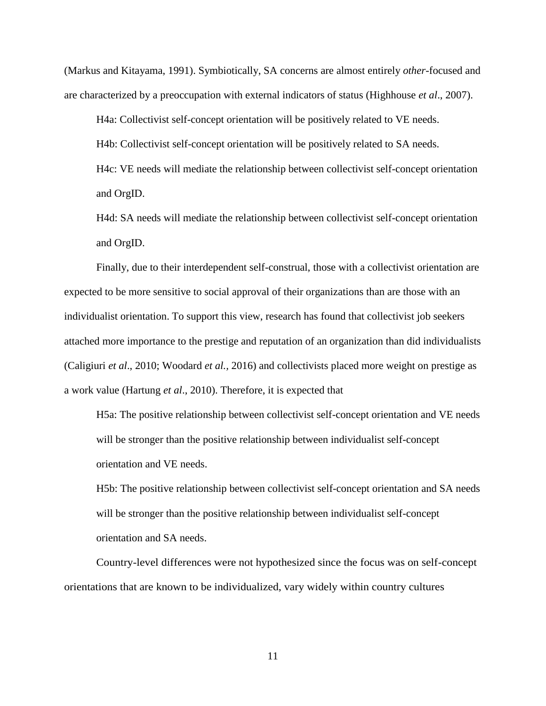(Markus and Kitayama, 1991). Symbiotically, SA concerns are almost entirely *other*-focused and are characterized by a preoccupation with external indicators of status (Highhouse *et al*., 2007).

H4a: Collectivist self-concept orientation will be positively related to VE needs. H4b: Collectivist self-concept orientation will be positively related to SA needs. H4c: VE needs will mediate the relationship between collectivist self-concept orientation and OrgID.

H4d: SA needs will mediate the relationship between collectivist self-concept orientation and OrgID.

Finally, due to their interdependent self-construal, those with a collectivist orientation are expected to be more sensitive to social approval of their organizations than are those with an individualist orientation. To support this view, research has found that collectivist job seekers attached more importance to the prestige and reputation of an organization than did individualists (Caligiuri *et al*., 2010; Woodard *et al.,* 2016) and collectivists placed more weight on prestige as a work value (Hartung *et al*., 2010). Therefore, it is expected that

H5a: The positive relationship between collectivist self-concept orientation and VE needs will be stronger than the positive relationship between individualist self-concept orientation and VE needs.

H5b: The positive relationship between collectivist self-concept orientation and SA needs will be stronger than the positive relationship between individualist self-concept orientation and SA needs.

Country-level differences were not hypothesized since the focus was on self-concept orientations that are known to be individualized, vary widely within country cultures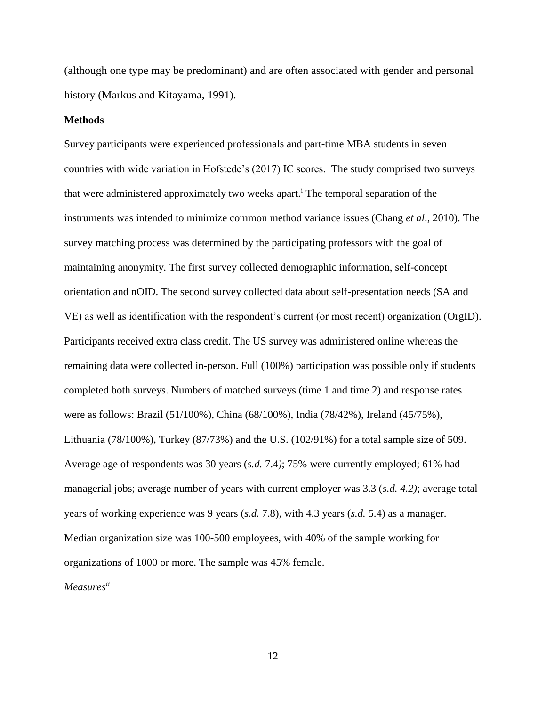(although one type may be predominant) and are often associated with gender and personal history (Markus and Kitayama, 1991).

### **Methods**

Survey participants were experienced professionals and part-time MBA students in seven countries with wide variation in Hofstede's (2017) IC scores. The study comprised two surveys that were administered approximately two weeks apart.<sup>i</sup> The temporal separation of the instruments was intended to minimize common method variance issues (Chang *et al*., 2010). The survey matching process was determined by the participating professors with the goal of maintaining anonymity. The first survey collected demographic information, self-concept orientation and nOID. The second survey collected data about self-presentation needs (SA and VE) as well as identification with the respondent's current (or most recent) organization (OrgID). Participants received extra class credit. The US survey was administered online whereas the remaining data were collected in-person. Full (100%) participation was possible only if students completed both surveys. Numbers of matched surveys (time 1 and time 2) and response rates were as follows: Brazil (51/100%), China (68/100%), India (78/42%), Ireland (45/75%), Lithuania (78/100%), Turkey (87/73%) and the U.S. (102/91%) for a total sample size of 509. Average age of respondents was 30 years (*s.d.* 7.4*)*; 75% were currently employed; 61% had managerial jobs; average number of years with current employer was 3.3 (*s.d. 4.2)*; average total years of working experience was 9 years (*s.d.* 7.8), with 4.3 years (*s.d.* 5.4) as a manager. Median organization size was 100-500 employees, with 40% of the sample working for organizations of 1000 or more. The sample was 45% female. *Measuresii*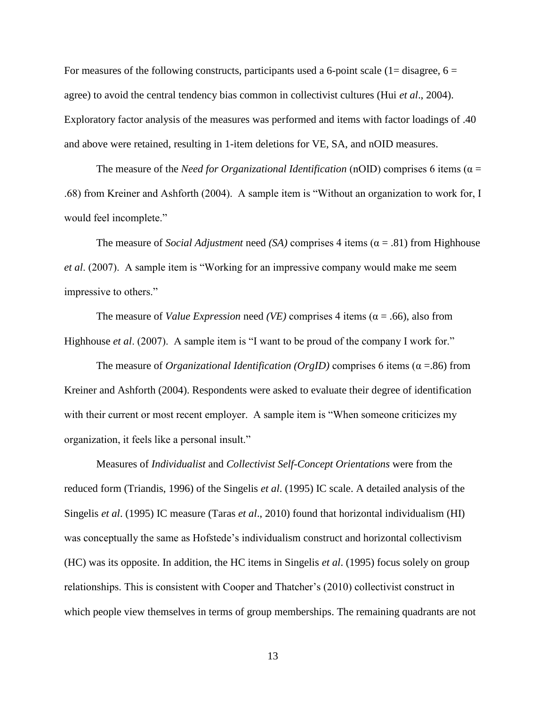For measures of the following constructs, participants used a 6-point scale  $(1=$  disagree,  $6=$ agree) to avoid the central tendency bias common in collectivist cultures (Hui *et al*., 2004). Exploratory factor analysis of the measures was performed and items with factor loadings of .40 and above were retained, resulting in 1-item deletions for VE, SA, and nOID measures.

The measure of the *Need for Organizational Identification* (nOID) comprises 6 items ( $\alpha$  = .68) from Kreiner and Ashforth (2004). A sample item is "Without an organization to work for, I would feel incomplete."

The measure of *Social Adjustment* need *(SA)* comprises 4 items  $(\alpha = .81)$  from Highhouse *et al*. (2007). A sample item is "Working for an impressive company would make me seem impressive to others."

The measure of *Value Expression* need *(VE)* comprises 4 items ( $\alpha$  = .66), also from Highhouse *et al.* (2007). A sample item is "I want to be proud of the company I work for."

The measure of *Organizational Identification (OrgID)* comprises 6 items ( $\alpha$  =.86) from Kreiner and Ashforth (2004). Respondents were asked to evaluate their degree of identification with their current or most recent employer. A sample item is "When someone criticizes my organization, it feels like a personal insult."

Measures of *Individualist* and *Collectivist Self-Concept Orientations* were from the reduced form (Triandis, 1996) of the Singelis *et al*. (1995) IC scale. A detailed analysis of the Singelis *et al*. (1995) IC measure (Taras *et al*., 2010) found that horizontal individualism (HI) was conceptually the same as Hofstede's individualism construct and horizontal collectivism (HC) was its opposite. In addition, the HC items in Singelis *et al*. (1995) focus solely on group relationships. This is consistent with Cooper and Thatcher's (2010) collectivist construct in which people view themselves in terms of group memberships. The remaining quadrants are not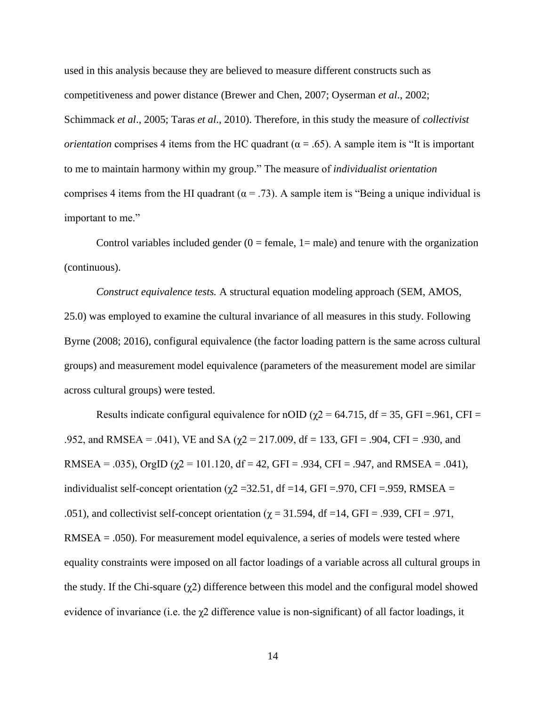used in this analysis because they are believed to measure different constructs such as competitiveness and power distance (Brewer and Chen, 2007; Oyserman *et al*., 2002; Schimmack *et al*., 2005; Taras *et al*., 2010). Therefore, in this study the measure of *collectivist orientation* comprises 4 items from the HC quadrant ( $\alpha = .65$ ). A sample item is "It is important to me to maintain harmony within my group." The measure of *individualist orientation* comprises 4 items from the HI quadrant ( $\alpha$  = .73). A sample item is "Being a unique individual is important to me."

Control variables included gender  $(0 = \text{female}, 1 = \text{male})$  and tenure with the organization (continuous).

*Construct equivalence tests.* A structural equation modeling approach (SEM, AMOS, 25.0) was employed to examine the cultural invariance of all measures in this study. Following Byrne (2008; 2016), configural equivalence (the factor loading pattern is the same across cultural groups) and measurement model equivalence (parameters of the measurement model are similar across cultural groups) were tested.

Results indicate configural equivalence for nOID ( $\chi$ 2 = 64.715, df = 35, GFI = 961, CFI = .952, and RMSEA = .041), VE and SA ( $\chi$ 2 = 217.009, df = 133, GFI = .904, CFI = .930, and RMSEA = .035), OrgID ( $\gamma$ 2 = 101.120, df = 42, GFI = .934, CFI = .947, and RMSEA = .041), individualist self-concept orientation ( $\gamma$ 2 = 32.51, df = 14, GFI = .970, CFI = .959, RMSEA = .051), and collectivist self-concept orientation ( $\gamma$  = 31.594, df =14, GFI = .939, CFI = .971,  $RMSEA = .050$ . For measurement model equivalence, a series of models were tested where equality constraints were imposed on all factor loadings of a variable across all cultural groups in the study. If the Chi-square  $(\gamma 2)$  difference between this model and the configural model showed evidence of invariance (i.e. the  $\chi$ 2 difference value is non-significant) of all factor loadings, it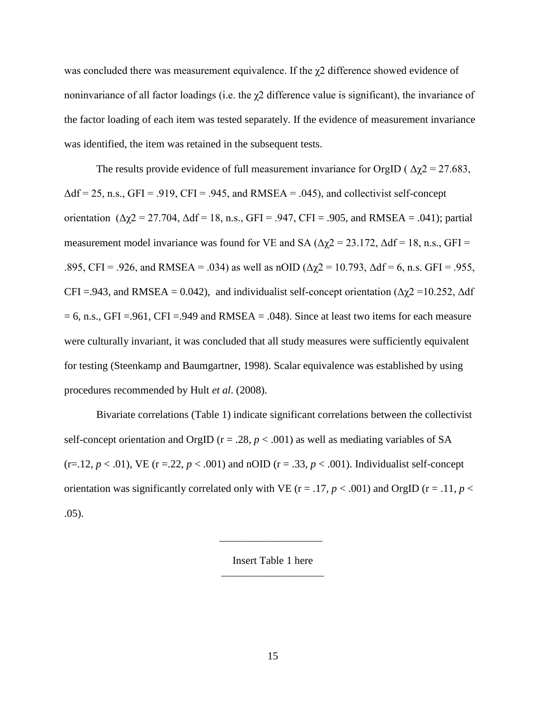was concluded there was measurement equivalence. If the  $\gamma$ 2 difference showed evidence of noninvariance of all factor loadings (i.e. the  $\chi$ 2 difference value is significant), the invariance of the factor loading of each item was tested separately. If the evidence of measurement invariance was identified, the item was retained in the subsequent tests.

The results provide evidence of full measurement invariance for OrgID ( $\Delta \chi$ 2 = 27.683,  $\Delta df = 25$ , n.s., GFI = .919, CFI = .945, and RMSEA = .045), and collectivist self-concept orientation ( $\Delta \chi$ 2 = 27.704,  $\Delta df$  = 18, n.s., GFI = .947, CFI = .905, and RMSEA = .041); partial measurement model invariance was found for VE and SA ( $\Delta \chi$ 2 = 23.172,  $\Delta df$  = 18, n.s., GFI = .895, CFI = .926, and RMSEA = .034) as well as nOID ( $\Delta \chi$ 2 = 10.793,  $\Delta df$  = 6, n.s. GFI = .955, CFI =.943, and RMSEA = 0.042), and individualist self-concept orientation ( $\Delta \chi$ 2 = 10.252,  $\Delta$ df  $= 6$ , n.s., GFI =.961, CFI =.949 and RMSEA = .048). Since at least two items for each measure were culturally invariant, it was concluded that all study measures were sufficiently equivalent for testing (Steenkamp and Baumgartner, 1998). Scalar equivalence was established by using procedures recommended by Hult *et al*. (2008).

Bivariate correlations (Table 1) indicate significant correlations between the collectivist self-concept orientation and OrgID ( $r = .28$ ,  $p < .001$ ) as well as mediating variables of SA  $(r=12, p<.01)$ , VE  $(r=.22, p<.001)$  and nOID  $(r=.33, p<.001)$ . Individualist self-concept orientation was significantly correlated only with VE ( $r = .17$ ,  $p < .001$ ) and OrgID ( $r = .11$ ,  $p <$ .05).

Insert Table 1 here

 $\overline{\phantom{a}}$  , and the contract of the contract of the contract of the contract of the contract of the contract of the contract of the contract of the contract of the contract of the contract of the contract of the contrac

 $\overline{\phantom{a}}$  , and the contract of the contract of the contract of the contract of the contract of the contract of the contract of the contract of the contract of the contract of the contract of the contract of the contrac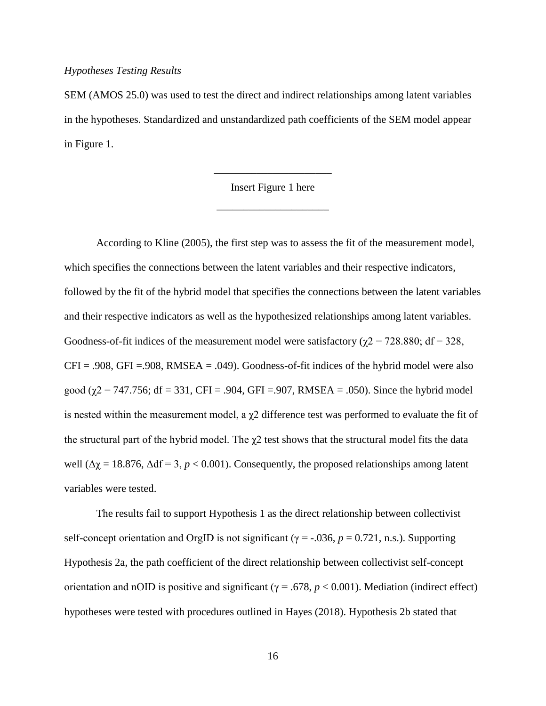### *Hypotheses Testing Results*

SEM (AMOS 25.0) was used to test the direct and indirect relationships among latent variables in the hypotheses. Standardized and unstandardized path coefficients of the SEM model appear in Figure 1.

Insert Figure 1 here

\_\_\_\_\_\_\_\_\_\_\_\_\_\_\_\_\_\_\_\_\_

\_\_\_\_\_\_\_\_\_\_\_\_\_\_\_\_\_\_\_\_\_\_

According to Kline (2005), the first step was to assess the fit of the measurement model, which specifies the connections between the latent variables and their respective indicators, followed by the fit of the hybrid model that specifies the connections between the latent variables and their respective indicators as well as the hypothesized relationships among latent variables. Goodness-of-fit indices of the measurement model were satisfactory ( $\chi$ 2 = 728.880; df = 328,  $CFI = .908$ ,  $GFI = .908$ , RMSEA = .049). Goodness-of-fit indices of the hybrid model were also good ( $\chi$ 2 = 747.756; df = 331, CFI = .904, GFI = .907, RMSEA = .050). Since the hybrid model is nested within the measurement model, a  $\chi$ 2 difference test was performed to evaluate the fit of the structural part of the hybrid model. The  $\chi$ 2 test shows that the structural model fits the data well ( $\Delta \chi$  = 18.876,  $\Delta df$  = 3, *p* < 0.001). Consequently, the proposed relationships among latent variables were tested.

The results fail to support Hypothesis 1 as the direct relationship between collectivist self-concept orientation and OrgID is not significant ( $\gamma$  = -.036,  $p$  = 0.721, n.s.). Supporting Hypothesis 2a, the path coefficient of the direct relationship between collectivist self-concept orientation and nOID is positive and significant ( $\gamma = .678$ ,  $p < 0.001$ ). Mediation (indirect effect) hypotheses were tested with procedures outlined in Hayes (2018). Hypothesis 2b stated that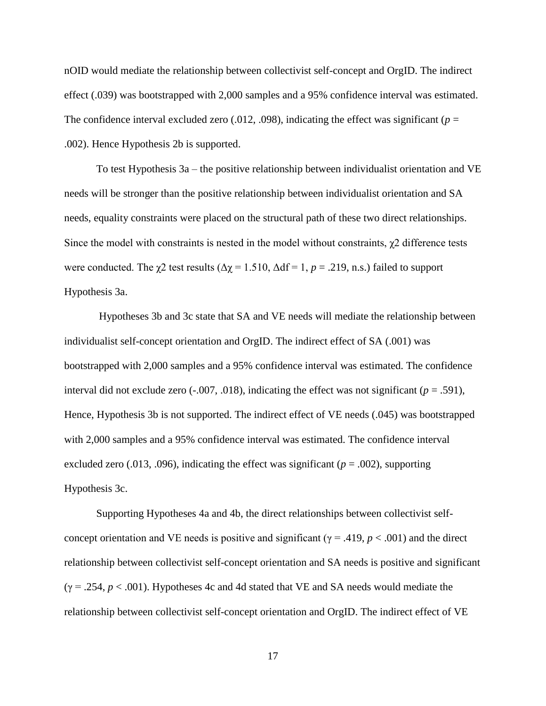nOID would mediate the relationship between collectivist self-concept and OrgID. The indirect effect (.039) was bootstrapped with 2,000 samples and a 95% confidence interval was estimated. The confidence interval excluded zero  $(.012, .098)$ , indicating the effect was significant ( $p =$ .002). Hence Hypothesis 2b is supported.

To test Hypothesis 3a – the positive relationship between individualist orientation and VE needs will be stronger than the positive relationship between individualist orientation and SA needs, equality constraints were placed on the structural path of these two direct relationships. Since the model with constraints is nested in the model without constraints,  $\chi$ 2 difference tests were conducted. The  $\chi$ 2 test results ( $\Delta \chi$  = 1.510,  $\Delta df$  = 1, *p* = .219, n.s.) failed to support Hypothesis 3a.

Hypotheses 3b and 3c state that SA and VE needs will mediate the relationship between individualist self-concept orientation and OrgID. The indirect effect of SA (.001) was bootstrapped with 2,000 samples and a 95% confidence interval was estimated. The confidence interval did not exclude zero  $(-.007, .018)$ , indicating the effect was not significant  $(p = .591)$ , Hence, Hypothesis 3b is not supported. The indirect effect of VE needs (.045) was bootstrapped with 2,000 samples and a 95% confidence interval was estimated. The confidence interval excluded zero (.013, .096), indicating the effect was significant ( $p = .002$ ), supporting Hypothesis 3c.

Supporting Hypotheses 4a and 4b, the direct relationships between collectivist selfconcept orientation and VE needs is positive and significant ( $\gamma$  = .419,  $p < .001$ ) and the direct relationship between collectivist self-concept orientation and SA needs is positive and significant  $(\gamma = .254, p < .001)$ . Hypotheses 4c and 4d stated that VE and SA needs would mediate the relationship between collectivist self-concept orientation and OrgID. The indirect effect of VE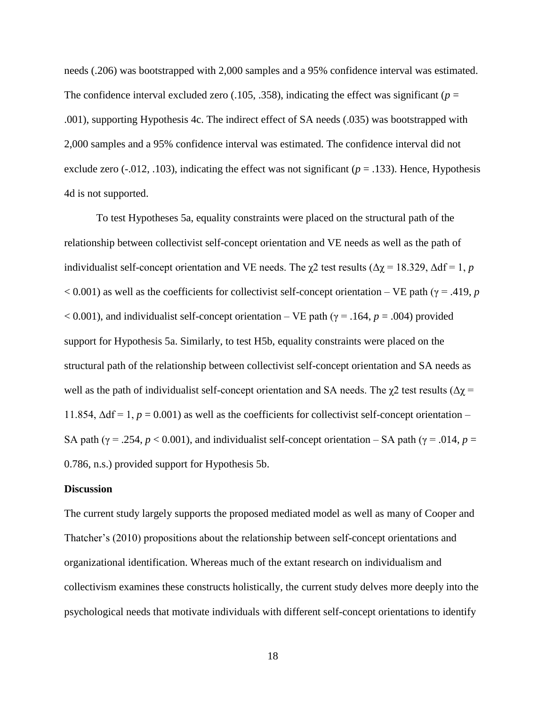needs (.206) was bootstrapped with 2,000 samples and a 95% confidence interval was estimated. The confidence interval excluded zero  $(.105, .358)$ , indicating the effect was significant ( $p =$ .001), supporting Hypothesis 4c. The indirect effect of SA needs (.035) was bootstrapped with 2,000 samples and a 95% confidence interval was estimated. The confidence interval did not exclude zero  $(-0.012, 0.103)$ , indicating the effect was not significant ( $p = 0.133$ ). Hence, Hypothesis 4d is not supported.

To test Hypotheses 5a, equality constraints were placed on the structural path of the relationship between collectivist self-concept orientation and VE needs as well as the path of individualist self-concept orientation and VE needs. The  $\chi$ 2 test results ( $\Delta \chi$  = 18.329,  $\Delta df$  = 1, *p*  $< 0.001$ ) as well as the coefficients for collectivist self-concept orientation – VE path ( $\gamma = .419$ , *p*  $< 0.001$ ), and individualist self-concept orientation – VE path ( $\gamma = .164$ ,  $p = .004$ ) provided support for Hypothesis 5a. Similarly, to test H5b, equality constraints were placed on the structural path of the relationship between collectivist self-concept orientation and SA needs as well as the path of individualist self-concept orientation and SA needs. The  $\chi$ 2 test results ( $\Delta \chi$  = 11.854,  $\Delta df = 1$ ,  $p = 0.001$ ) as well as the coefficients for collectivist self-concept orientation – SA path ( $\gamma$  = .254,  $p < 0.001$ ), and individualist self-concept orientation – SA path ( $\gamma$  = .014,  $p =$ 0.786, n.s.) provided support for Hypothesis 5b.

### **Discussion**

The current study largely supports the proposed mediated model as well as many of Cooper and Thatcher's (2010) propositions about the relationship between self-concept orientations and organizational identification. Whereas much of the extant research on individualism and collectivism examines these constructs holistically, the current study delves more deeply into the psychological needs that motivate individuals with different self-concept orientations to identify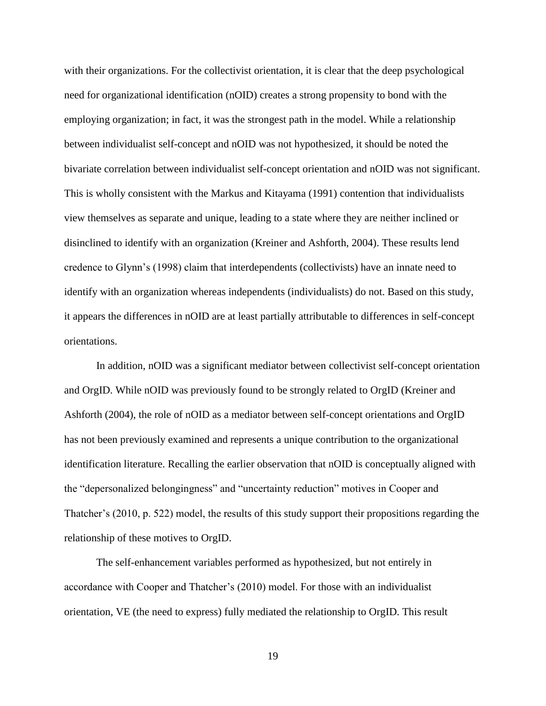with their organizations. For the collectivist orientation, it is clear that the deep psychological need for organizational identification (nOID) creates a strong propensity to bond with the employing organization; in fact, it was the strongest path in the model. While a relationship between individualist self-concept and nOID was not hypothesized, it should be noted the bivariate correlation between individualist self-concept orientation and nOID was not significant. This is wholly consistent with the Markus and Kitayama (1991) contention that individualists view themselves as separate and unique, leading to a state where they are neither inclined or disinclined to identify with an organization (Kreiner and Ashforth, 2004). These results lend credence to Glynn's (1998) claim that interdependents (collectivists) have an innate need to identify with an organization whereas independents (individualists) do not. Based on this study, it appears the differences in nOID are at least partially attributable to differences in self-concept orientations.

In addition, nOID was a significant mediator between collectivist self-concept orientation and OrgID. While nOID was previously found to be strongly related to OrgID (Kreiner and Ashforth (2004), the role of nOID as a mediator between self-concept orientations and OrgID has not been previously examined and represents a unique contribution to the organizational identification literature. Recalling the earlier observation that nOID is conceptually aligned with the "depersonalized belongingness" and "uncertainty reduction" motives in Cooper and Thatcher's (2010, p. 522) model, the results of this study support their propositions regarding the relationship of these motives to OrgID.

The self-enhancement variables performed as hypothesized, but not entirely in accordance with Cooper and Thatcher's (2010) model. For those with an individualist orientation, VE (the need to express) fully mediated the relationship to OrgID. This result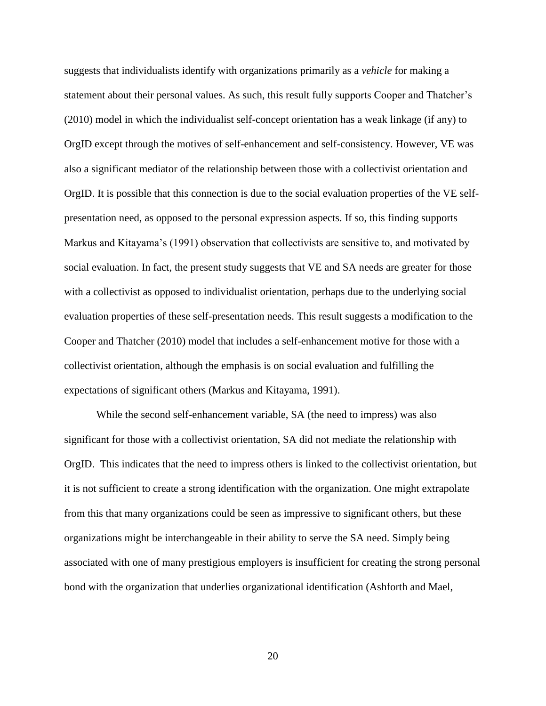suggests that individualists identify with organizations primarily as a *vehicle* for making a statement about their personal values. As such, this result fully supports Cooper and Thatcher's (2010) model in which the individualist self-concept orientation has a weak linkage (if any) to OrgID except through the motives of self-enhancement and self-consistency. However, VE was also a significant mediator of the relationship between those with a collectivist orientation and OrgID. It is possible that this connection is due to the social evaluation properties of the VE selfpresentation need, as opposed to the personal expression aspects. If so, this finding supports Markus and Kitayama's (1991) observation that collectivists are sensitive to, and motivated by social evaluation. In fact, the present study suggests that VE and SA needs are greater for those with a collectivist as opposed to individualist orientation, perhaps due to the underlying social evaluation properties of these self-presentation needs. This result suggests a modification to the Cooper and Thatcher (2010) model that includes a self-enhancement motive for those with a collectivist orientation, although the emphasis is on social evaluation and fulfilling the expectations of significant others (Markus and Kitayama, 1991).

While the second self-enhancement variable, SA (the need to impress) was also significant for those with a collectivist orientation, SA did not mediate the relationship with OrgID. This indicates that the need to impress others is linked to the collectivist orientation, but it is not sufficient to create a strong identification with the organization. One might extrapolate from this that many organizations could be seen as impressive to significant others, but these organizations might be interchangeable in their ability to serve the SA need. Simply being associated with one of many prestigious employers is insufficient for creating the strong personal bond with the organization that underlies organizational identification (Ashforth and Mael,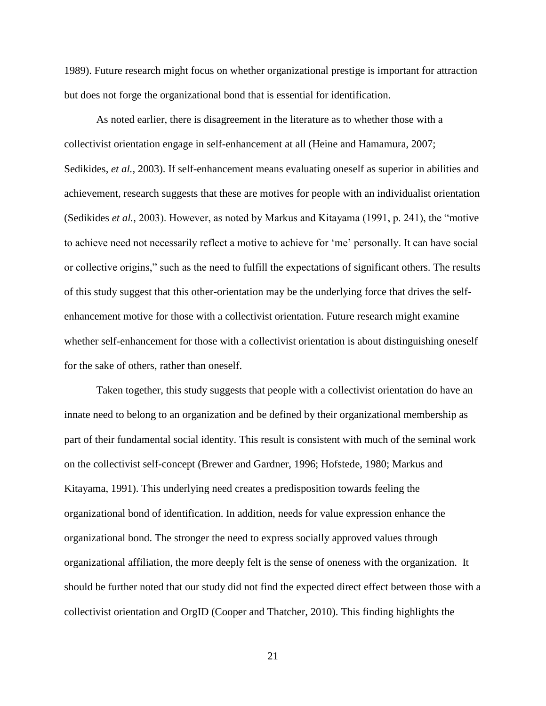1989). Future research might focus on whether organizational prestige is important for attraction but does not forge the organizational bond that is essential for identification.

As noted earlier, there is disagreement in the literature as to whether those with a collectivist orientation engage in self-enhancement at all (Heine and Hamamura, 2007; Sedikides, *et al.,* 2003). If self-enhancement means evaluating oneself as superior in abilities and achievement, research suggests that these are motives for people with an individualist orientation (Sedikides *et al.,* 2003). However, as noted by Markus and Kitayama (1991, p. 241), the "motive to achieve need not necessarily reflect a motive to achieve for 'me' personally. It can have social or collective origins," such as the need to fulfill the expectations of significant others. The results of this study suggest that this other-orientation may be the underlying force that drives the selfenhancement motive for those with a collectivist orientation. Future research might examine whether self-enhancement for those with a collectivist orientation is about distinguishing oneself for the sake of others, rather than oneself.

Taken together, this study suggests that people with a collectivist orientation do have an innate need to belong to an organization and be defined by their organizational membership as part of their fundamental social identity. This result is consistent with much of the seminal work on the collectivist self-concept (Brewer and Gardner, 1996; Hofstede, 1980; Markus and Kitayama, 1991). This underlying need creates a predisposition towards feeling the organizational bond of identification. In addition, needs for value expression enhance the organizational bond. The stronger the need to express socially approved values through organizational affiliation, the more deeply felt is the sense of oneness with the organization. It should be further noted that our study did not find the expected direct effect between those with a collectivist orientation and OrgID (Cooper and Thatcher, 2010). This finding highlights the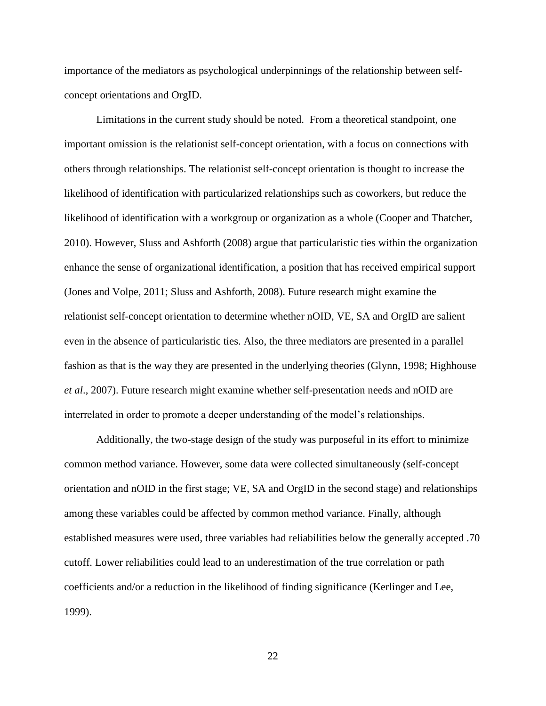importance of the mediators as psychological underpinnings of the relationship between selfconcept orientations and OrgID.

Limitations in the current study should be noted. From a theoretical standpoint, one important omission is the relationist self-concept orientation, with a focus on connections with others through relationships. The relationist self-concept orientation is thought to increase the likelihood of identification with particularized relationships such as coworkers, but reduce the likelihood of identification with a workgroup or organization as a whole (Cooper and Thatcher, 2010). However, Sluss and Ashforth (2008) argue that particularistic ties within the organization enhance the sense of organizational identification, a position that has received empirical support (Jones and Volpe, 2011; Sluss and Ashforth, 2008). Future research might examine the relationist self-concept orientation to determine whether nOID, VE, SA and OrgID are salient even in the absence of particularistic ties. Also, the three mediators are presented in a parallel fashion as that is the way they are presented in the underlying theories (Glynn, 1998; Highhouse *et al*., 2007). Future research might examine whether self-presentation needs and nOID are interrelated in order to promote a deeper understanding of the model's relationships.

Additionally, the two-stage design of the study was purposeful in its effort to minimize common method variance. However, some data were collected simultaneously (self-concept orientation and nOID in the first stage; VE, SA and OrgID in the second stage) and relationships among these variables could be affected by common method variance. Finally, although established measures were used, three variables had reliabilities below the generally accepted .70 cutoff. Lower reliabilities could lead to an underestimation of the true correlation or path coefficients and/or a reduction in the likelihood of finding significance (Kerlinger and Lee, 1999).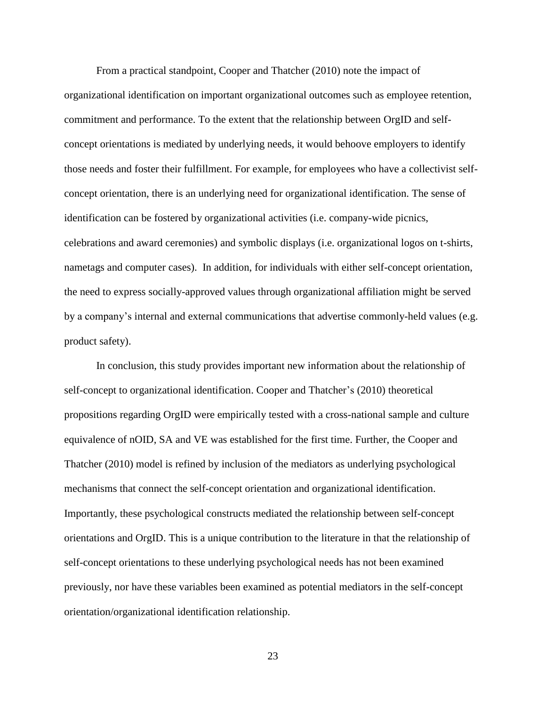From a practical standpoint, Cooper and Thatcher (2010) note the impact of organizational identification on important organizational outcomes such as employee retention, commitment and performance. To the extent that the relationship between OrgID and selfconcept orientations is mediated by underlying needs, it would behoove employers to identify those needs and foster their fulfillment. For example, for employees who have a collectivist selfconcept orientation, there is an underlying need for organizational identification. The sense of identification can be fostered by organizational activities (i.e. company-wide picnics, celebrations and award ceremonies) and symbolic displays (i.e. organizational logos on t-shirts, nametags and computer cases). In addition, for individuals with either self-concept orientation, the need to express socially-approved values through organizational affiliation might be served by a company's internal and external communications that advertise commonly-held values (e.g. product safety).

In conclusion, this study provides important new information about the relationship of self-concept to organizational identification. Cooper and Thatcher's (2010) theoretical propositions regarding OrgID were empirically tested with a cross-national sample and culture equivalence of nOID, SA and VE was established for the first time. Further, the Cooper and Thatcher (2010) model is refined by inclusion of the mediators as underlying psychological mechanisms that connect the self-concept orientation and organizational identification. Importantly, these psychological constructs mediated the relationship between self-concept orientations and OrgID. This is a unique contribution to the literature in that the relationship of self-concept orientations to these underlying psychological needs has not been examined previously, nor have these variables been examined as potential mediators in the self-concept orientation/organizational identification relationship.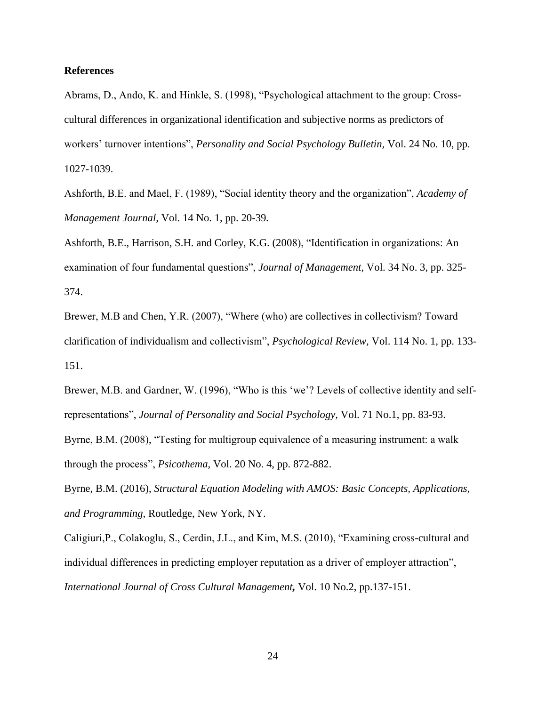### **References**

Abrams, D., Ando, K. and Hinkle, S. (1998), "Psychological attachment to the group: Crosscultural differences in organizational identification and subjective norms as predictors of workers' turnover intentions", *Personality and Social Psychology Bulletin,* Vol. 24 No. 10, pp. 1027-1039.

Ashforth, B.E. and Mael, F. (1989), "Social identity theory and the organization", *Academy of Management Journal,* Vol. 14 No. 1, pp. 20-39*.*

Ashforth, B.E., Harrison, S.H. and Corley, K.G. (2008), "Identification in organizations: An examination of four fundamental questions", *Journal of Management,* Vol. 34 No. 3, pp. 325- 374.

Brewer, M.B and Chen, Y.R. (2007), "Where (who) are collectives in collectivism? Toward clarification of individualism and collectivism", *Psychological Review,* Vol. 114 No. 1, pp. 133- 151.

Brewer, M.B. and Gardner, W. (1996), "Who is this 'we'? Levels of collective identity and selfrepresentations", *Journal of Personality and Social Psychology,* Vol. 71 No.1, pp. 83-93.

Byrne, B.M. (2008), "Testing for multigroup equivalence of a measuring instrument: a walk through the process", *Psicothema*, Vol. 20 No. 4, pp. 872-882.

Byrne, B.M. (2016), *Structural Equation Modeling with AMOS: Basic Concepts, Applications, and Programming*, Routledge, New York, NY.

Caligiuri,P., Colakoglu, S., Cerdin, J.L., and Kim, M.S. (2010), "Examining cross-cultural and individual differences in predicting employer reputation as a driver of employer attraction", *International Journal of Cross Cultural Management,* Vol. 10 No.2, pp.137-151.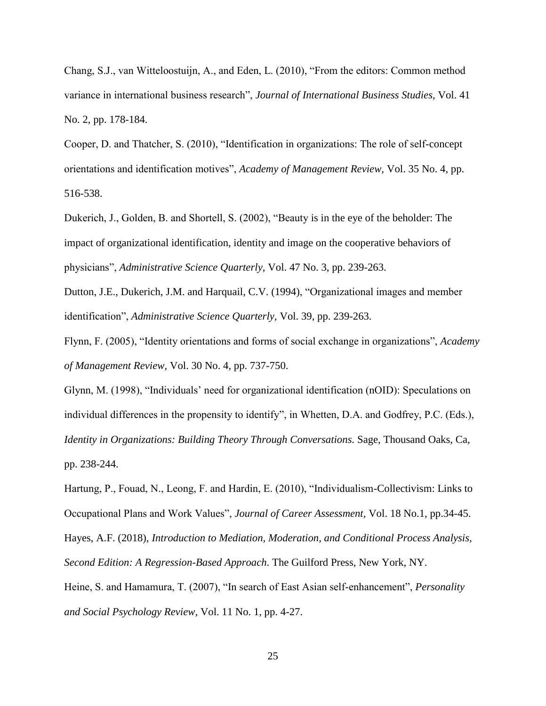Chang, S.J., van Witteloostuijn, A., and Eden, L. (2010), "From the editors: Common method variance in international business research", *Journal of International Business Studies,* Vol. 41 No. 2, pp. 178-184.

Cooper, D. and Thatcher, S. (2010), "Identification in organizations: The role of self-concept orientations and identification motives", *Academy of Management Review,* Vol. 35 No. 4, pp. 516-538.

Dukerich, J., Golden, B. and Shortell, S. (2002), "Beauty is in the eye of the beholder: The impact of organizational identification, identity and image on the cooperative behaviors of physicians", *Administrative Science Quarterly,* Vol. 47 No. 3, pp. 239-263.

Dutton, J.E., Dukerich, J.M. and Harquail, C.V. (1994), "Organizational images and member identification", *Administrative Science Quarterly,* Vol. 39, pp. 239-263.

Flynn, F. (2005), "Identity orientations and forms of social exchange in organizations", *Academy of Management Review,* Vol. 30 No. 4, pp. 737-750.

Glynn, M. (1998), "Individuals' need for organizational identification (nOID): Speculations on individual differences in the propensity to identify", in Whetten, D.A. and Godfrey, P.C. (Eds.), *Identity in Organizations: Building Theory Through Conversations.* Sage, Thousand Oaks, Ca, pp. 238-244.

Hartung, P., Fouad, N., Leong, F. and Hardin, E. (2010), "Individualism-Collectivism: Links to Occupational Plans and Work Values", *Journal of Career Assessment,* Vol. 18 No.1, pp.34-45. Hayes, A.F. (2018), *Introduction to Mediation, Moderation, and Conditional Process Analysis, Second Edition: A Regression-Based Approach*. The Guilford Press, New York, NY. Heine, S. and Hamamura, T. (2007), "In search of East Asian self-enhancement", *Personality* 

*and Social Psychology Review,* Vol. 11 No. 1, pp. 4-27.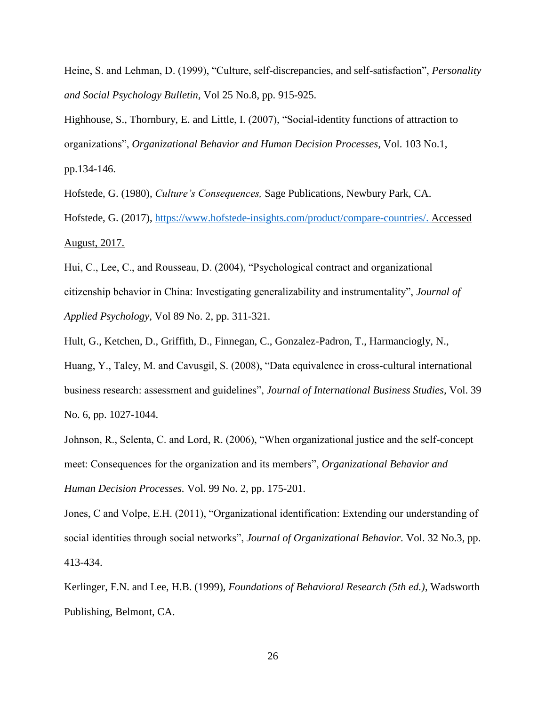Heine, S. and Lehman, D. (1999), "Culture, self-discrepancies, and self-satisfaction", *Personality and Social Psychology Bulletin,* Vol 25 No.8, pp. 915-925.

Highhouse, S., Thornbury, E. and Little, I. (2007), "Social-identity functions of attraction to organizations", *Organizational Behavior and Human Decision Processes,* Vol. 103 No.1, pp.134-146.

Hofstede, G. (1980), *Culture's Consequences,* Sage Publications, Newbury Park, CA. Hofstede, G. (2017), [https://www.hofstede-insights.com/product/compare-countries/.](https://www.hofstede-insights.com/product/compare-countries/) Accessed August, 2017.

Hui, C., Lee, C., and Rousseau, D. (2004), "Psychological contract and organizational citizenship behavior in China: Investigating generalizability and instrumentality", *Journal of Applied Psychology,* Vol 89 No. 2, pp. 311-321.

Hult, G., Ketchen, D., Griffith, D., Finnegan, C., Gonzalez-Padron, T., Harmanciogly, N.,

Huang, Y., Taley, M. and Cavusgil, S. (2008), "Data equivalence in cross-cultural international business research: assessment and guidelines", *Journal of International Business Studies,* Vol. 39 No. 6, pp. 1027-1044.

Johnson, R., Selenta, C. and Lord, R. (2006), "When organizational justice and the self-concept meet: Consequences for the organization and its members", *Organizational Behavior and Human Decision Processes.* Vol. 99 No. 2, pp. 175-201.

Jones, C and Volpe, E.H. (2011), "Organizational identification: Extending our understanding of social identities through social networks", *Journal of Organizational Behavior.* Vol. 32 No.3, pp. 413-434.

Kerlinger, F.N. and Lee, H.B. (1999), *Foundations of Behavioral Research (5th ed.)*, Wadsworth Publishing, Belmont, CA.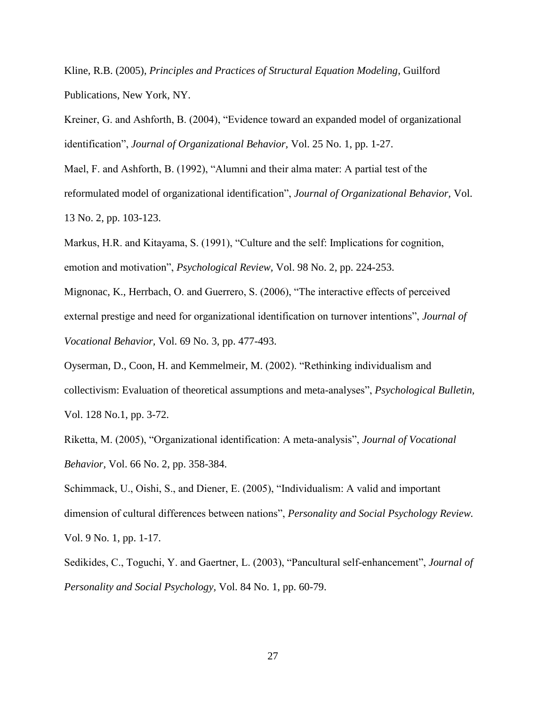Kline, R.B. (2005), *Principles and Practices of Structural Equation Modeling*, Guilford Publications, New York, NY.

Kreiner, G. and Ashforth, B. (2004), "Evidence toward an expanded model of organizational identification", *Journal of Organizational Behavior,* Vol. 25 No. 1, pp. 1-27.

Mael, F. and Ashforth, B. (1992), "Alumni and their alma mater: A partial test of the reformulated model of organizational identification", *Journal of Organizational Behavior,* Vol. 13 No. 2, pp. 103-123.

Markus, H.R. and Kitayama, S. (1991), "Culture and the self: Implications for cognition, emotion and motivation", *Psychological Review,* Vol. 98 No. 2, pp. 224-253.

Mignonac, K., Herrbach, O. and Guerrero, S. (2006), "The interactive effects of perceived external prestige and need for organizational identification on turnover intentions", *Journal of Vocational Behavior,* Vol. 69 No. 3, pp. 477-493.

Oyserman, D., Coon, H. and Kemmelmeir, M. (2002). "Rethinking individualism and collectivism: Evaluation of theoretical assumptions and meta-analyses", *Psychological Bulletin,*  Vol. 128 No.1, pp. 3-72.

Riketta, M. (2005), "Organizational identification: A meta-analysis", *Journal of Vocational Behavior,* Vol. 66 No. 2, pp. 358-384.

Schimmack, U., Oishi, S., and Diener, E. (2005), "Individualism: A valid and important dimension of cultural differences between nations", *Personality and Social Psychology Review.* Vol. 9 No. 1, pp. 1-17.

Sedikides, C., Toguchi, Y. and Gaertner, L. (2003), "Pancultural self-enhancement", *Journal of Personality and Social Psychology,* Vol. 84 No. 1, pp. 60-79.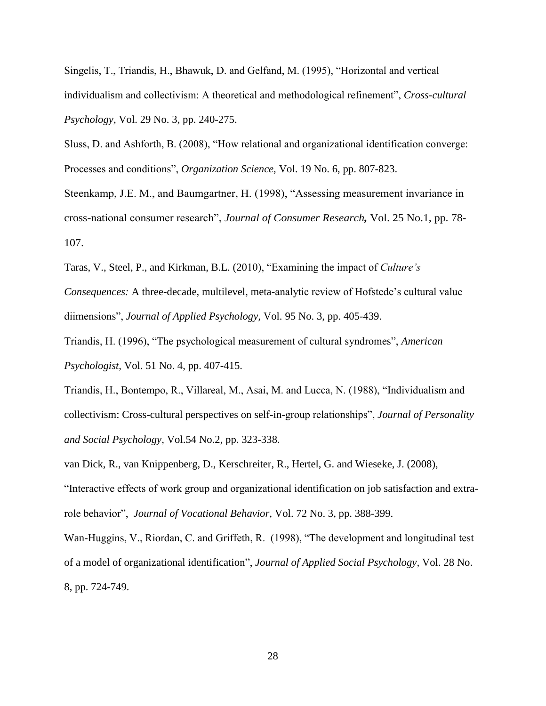Singelis, T., Triandis, H., Bhawuk, D. and Gelfand, M. (1995), "Horizontal and vertical individualism and collectivism: A theoretical and methodological refinement", *Cross-cultural Psychology,* Vol. 29 No. 3, pp. 240-275.

Sluss, D. and Ashforth, B. (2008), "How relational and organizational identification converge: Processes and conditions", *Organization Science,* Vol. 19 No. 6, pp. 807-823.

Steenkamp, J.E. M., and Baumgartner, H. (1998), "Assessing measurement invariance in cross-national consumer research", *Journal of Consumer Research,* Vol. 25 No.1, pp. 78- 107.

Taras, V., Steel, P., and Kirkman, B.L. (2010), "Examining the impact of *Culture's* 

*Consequences:* A three-decade, multilevel, meta-analytic review of Hofstede's cultural value diimensions", *Journal of Applied Psychology,* Vol. 95 No. 3, pp. 405-439.

Triandis, H. (1996), "The psychological measurement of cultural syndromes", *American Psychologist,* Vol. 51 No. 4, pp. 407-415.

Triandis, H., Bontempo, R., Villareal, M., Asai, M. and Lucca, N. (1988), "Individualism and collectivism: Cross-cultural perspectives on self-in-group relationships", *Journal of Personality and Social Psychology,* Vol.54 No.2, pp. 323-338.

van Dick, R., van Knippenberg, D., Kerschreiter, R., Hertel, G. and Wieseke, J. (2008), "Interactive effects of work group and organizational identification on job satisfaction and extrarole behavior", *Journal of Vocational Behavior,* Vol. 72 No. 3, pp. 388-399.

Wan-Huggins, V., Riordan, C. and Griffeth, R. (1998), "The development and longitudinal test of a model of organizational identification", *Journal of Applied Social Psychology,* Vol. 28 No. 8, pp. 724-749.